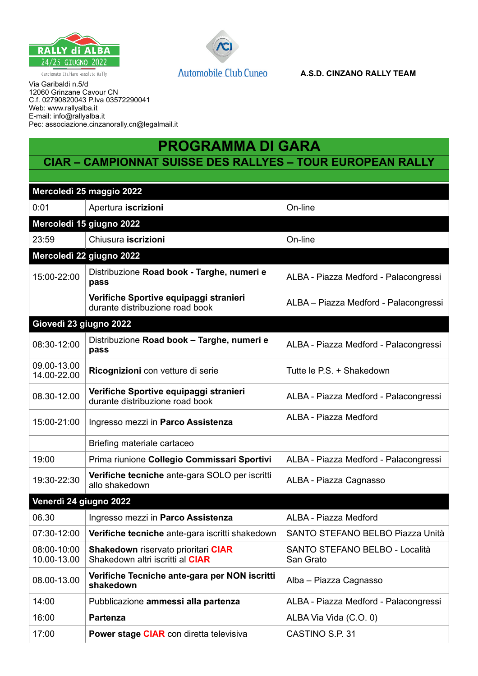

Campionato Italiano Assoluto Rally

**Automobile Club Cuneo** 

Via Garibaldi n.5/d 12060 Grinzane Cavour CN C.f. 02790820043 P.Iva 03572290041 Web: www.rallyalba.it E-mail: info@rallyalba.it Pec: associazione.cinzanorally.cn@legalmail.it

## **PROGRAMMA DI GARA**

## **CIAR – CAMPIONNAT SUISSE DES RALLYES – TOUR EUROPEAN RALLY**

| Mercoledì 25 maggio 2022   |                                                                           |                                             |  |  |
|----------------------------|---------------------------------------------------------------------------|---------------------------------------------|--|--|
| 0:01                       | Apertura iscrizioni                                                       | On-line                                     |  |  |
|                            | Mercoledi 15 giugno 2022                                                  |                                             |  |  |
| 23:59                      | Chiusura iscrizioni                                                       | On-line                                     |  |  |
|                            | Mercoledì 22 giugno 2022                                                  |                                             |  |  |
| 15:00-22:00                | Distribuzione Road book - Targhe, numeri e<br>pass                        | ALBA - Piazza Medford - Palacongressi       |  |  |
|                            | Verifiche Sportive equipaggi stranieri<br>durante distribuzione road book | ALBA - Piazza Medford - Palacongressi       |  |  |
| Giovedì 23 giugno 2022     |                                                                           |                                             |  |  |
| 08:30-12:00                | Distribuzione Road book - Targhe, numeri e<br>pass                        | ALBA - Piazza Medford - Palacongressi       |  |  |
| 09.00-13.00<br>14.00-22.00 | Ricognizioni con vetture di serie                                         | Tutte le P.S. + Shakedown                   |  |  |
| 08.30-12.00                | Verifiche Sportive equipaggi stranieri<br>durante distribuzione road book | ALBA - Piazza Medford - Palacongressi       |  |  |
| 15:00-21:00                | Ingresso mezzi in Parco Assistenza                                        | ALBA - Piazza Medford                       |  |  |
|                            | Briefing materiale cartaceo                                               |                                             |  |  |
| 19:00                      | Prima riunione Collegio Commissari Sportivi                               | ALBA - Piazza Medford - Palacongressi       |  |  |
| 19:30-22:30                | Verifiche tecniche ante-gara SOLO per iscritti<br>allo shakedown          | ALBA - Piazza Cagnasso                      |  |  |
| Venerdì 24 giugno 2022     |                                                                           |                                             |  |  |
| 06.30                      | Ingresso mezzi in Parco Assistenza                                        | ALBA - Piazza Medford                       |  |  |
| 07:30-12:00                | Verifiche tecniche ante-gara iscritti shakedown                           | SANTO STEFANO BELBO Piazza Unità            |  |  |
| 08:00-10:00<br>10.00-13.00 | Shakedown riservato prioritari CIAR<br>Shakedown altri iscritti al CIAR   | SANTO STEFANO BELBO - Località<br>San Grato |  |  |
| 08.00-13.00                | Verifiche Tecniche ante-gara per NON iscritti<br>shakedown                | Alba - Piazza Cagnasso                      |  |  |
| 14:00                      | Pubblicazione ammessi alla partenza                                       | ALBA - Piazza Medford - Palacongressi       |  |  |
| 16:00                      | <b>Partenza</b>                                                           | ALBA Via Vida (C.O. 0)                      |  |  |
| 17:00                      | Power stage CIAR con diretta televisiva                                   | CASTINO S.P. 31                             |  |  |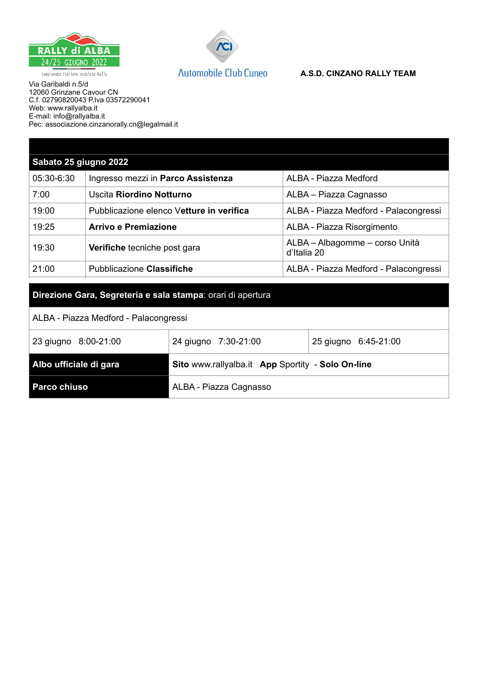



#### **A.S.D. CINZANO RALLY TEAM**

Via Garibaldi n.5/d 12060 Grinzane Cavour CN C.f. 02790820043 P.Iva 03572290041 Web: www.rallyalba.it E-mail: info@rallyalba.it Pec: associazione.cinzanorally.cn@legalmail.it

# **Sabato 25 giugno 2022** 05:30-6:30 Ingresso mezzi in **Parco Assistenza** ALBA - Piazza Medford 7:00 **Uscita Riordino Notturno ALBA – Piazza Cagnasso** 19:00 Pubblicazione elenco V**etture in verifica** ALBA - Piazza Medford - Palacongressi 19:25 **Arrivo e Premiazione ALBA - Piazza Risorgimento** 19:30 **Verifiche** tecniche post gara **ALBA** – Albagomme – corso Unità d'Italia 20 21:00 Pubblicazione **Classifiche** ALBA - Piazza Medford - Palacongressi **Direzione Gara, Segreteria e sala stampa**: orari di apertura

# ALBA - Piazza Medford - Palacongressi 23 giugno 8:00-21:00 24 giugno 7:30-21:00 25 giugno 6:45-21:00 **Albo ufficiale di gara Sito** www.rallyalba.it **App** Sportity - **Solo On-line Parco chiuso ALBA - Piazza Cagnasso**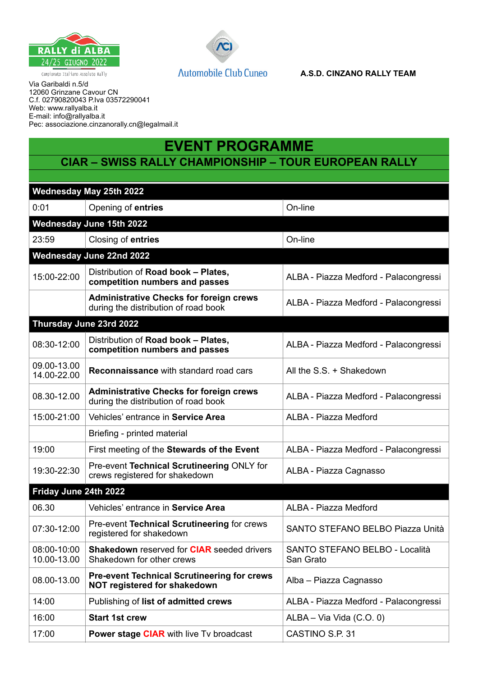

Campionato Italiano Assoluto Rally

**Automobile Club Cuneo** 

Via Garibaldi n.5/d 12060 Grinzane Cavour CN C.f. 02790820043 P.Iva 03572290041 Web: www.rallyalba.it E-mail: info@rallyalba.it Pec: associazione.cinzanorally.cn@legalmail.it

# **EVENT PROGRAMME**

## **CIAR – SWISS RALLY CHAMPIONSHIP – TOUR EUROPEAN RALLY**

| <b>Wednesday May 25th 2022</b> |                                                                                        |                                                    |  |  |
|--------------------------------|----------------------------------------------------------------------------------------|----------------------------------------------------|--|--|
| 0:01                           | Opening of entries                                                                     | On-line                                            |  |  |
|                                | Wednesday June 15th 2022                                                               |                                                    |  |  |
| 23:59                          | Closing of entries                                                                     | On-line                                            |  |  |
|                                | Wednesday June 22nd 2022                                                               |                                                    |  |  |
| 15:00-22:00                    | Distribution of Road book - Plates,<br>competition numbers and passes                  | ALBA - Piazza Medford - Palacongressi              |  |  |
|                                | <b>Administrative Checks for foreign crews</b><br>during the distribution of road book | ALBA - Piazza Medford - Palacongressi              |  |  |
|                                | Thursday June 23rd 2022                                                                |                                                    |  |  |
| 08:30-12:00                    | Distribution of Road book - Plates,<br>competition numbers and passes                  | ALBA - Piazza Medford - Palacongressi              |  |  |
| 09.00-13.00<br>14.00-22.00     | <b>Reconnaissance with standard road cars</b>                                          | All the S.S. + Shakedown                           |  |  |
| 08.30-12.00                    | <b>Administrative Checks for foreign crews</b><br>during the distribution of road book | ALBA - Piazza Medford - Palacongressi              |  |  |
| 15:00-21:00                    | Vehicles' entrance in Service Area                                                     | ALBA - Piazza Medford                              |  |  |
|                                | Briefing - printed material                                                            |                                                    |  |  |
| 19:00                          | First meeting of the Stewards of the Event                                             | ALBA - Piazza Medford - Palacongressi              |  |  |
| 19:30-22:30                    | Pre-event Technical Scrutineering ONLY for<br>crews registered for shakedown           | ALBA - Piazza Cagnasso                             |  |  |
| Friday June 24th 2022          |                                                                                        |                                                    |  |  |
| 06.30                          | Vehicles' entrance in Service Area                                                     | ALBA - Piazza Medford                              |  |  |
| 07:30-12:00                    | Pre-event Technical Scrutineering for crews<br>registered for shakedown                | SANTO STEFANO BELBO Piazza Unità                   |  |  |
| 08:00-10:00<br>10.00-13.00     | <b>Shakedown reserved for CIAR seeded drivers</b><br>Shakedown for other crews         | <b>SANTO STEFANO BELBO - Località</b><br>San Grato |  |  |
| 08.00-13.00                    | <b>Pre-event Technical Scrutineering for crews</b><br>NOT registered for shakedown     | Alba - Piazza Cagnasso                             |  |  |
| 14:00                          | Publishing of list of admitted crews                                                   | ALBA - Piazza Medford - Palacongressi              |  |  |
| 16:00                          | <b>Start 1st crew</b>                                                                  | ALBA - Via Vida (C.O. 0)                           |  |  |
| 17:00                          | <b>Power stage CIAR</b> with live Tv broadcast                                         | CASTINO S.P. 31                                    |  |  |